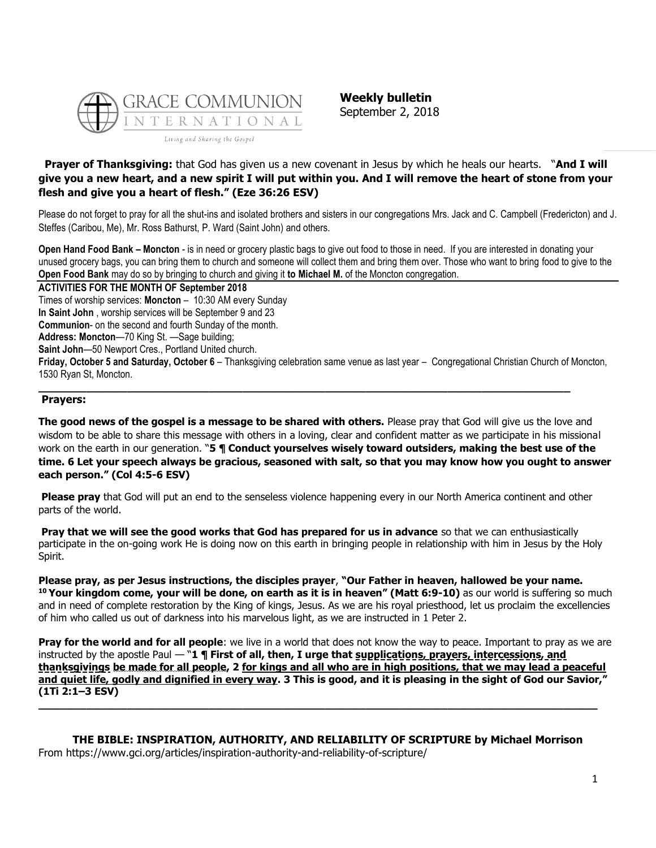

**Weekly bulletin** September 2, 2018

# **Prayer of Thanksgiving:** that God has given us a new covenant in Jesus by which he heals our hearts. "**And I will give you a new heart, and a new spirit I will put within you. And I will remove the heart of stone from your flesh and give you a heart of flesh." (Eze 36:26 ESV)**

Please do not forget to pray for all the shut-ins and isolated brothers and sisters in our congregations Mrs. Jack and C. Campbell (Fredericton) and J. Steffes (Caribou, Me), Mr. Ross Bathurst, P. Ward (Saint John) and others.

**Open Hand Food Bank – Moncton** - is in need or grocery plastic bags to give out food to those in need. If you are interested in donating your unused grocery bags, you can bring them to church and someone will collect them and bring them over. Those who want to bring food to give to the **Open Food Bank** may do so by bringing to church and giving it **to Michael M.** of the Moncton congregation.

**ACTIVITIES FOR THE MONTH OF September 2018**

Times of worship services: **Moncton** – 10:30 AM every Sunday

**In Saint John** , worship services will be September 9 and 23

**Communion**- on the second and fourth Sunday of the month.

**Address: Moncton**—70 King St. —Sage building;

**Saint John**—50 Newport Cres., Portland United church.

**Friday, October 5 and Saturday, October 6** – Thanksgiving celebration same venue as last year – Congregational Christian Church of Moncton, 1530 Ryan St, Moncton.

**\_\_\_\_\_\_\_\_\_\_\_\_\_\_\_\_\_\_\_\_\_\_\_\_\_\_\_\_\_\_\_\_\_\_\_\_\_\_\_\_\_\_\_\_\_\_\_\_\_\_\_\_\_\_\_\_\_\_\_\_\_\_\_\_\_\_\_\_\_\_\_\_\_\_\_\_\_\_**

## **Prayers:**

**The good news of the gospel is a message to be shared with others.** Please pray that God will give us the love and wisdom to be able to share this message with others in a loving, clear and confident matter as we participate in his missional work on the earth in our generation. "**5 ¶ Conduct yourselves wisely toward outsiders, making the best use of the time. 6 Let your speech always be gracious, seasoned with salt, so that you may know how you ought to answer each person." (Col 4:5-6 ESV)**

**Please pray** that God will put an end to the senseless violence happening every in our North America continent and other parts of the world.

**Pray that we will see the good works that God has prepared for us in advance** so that we can enthusiastically participate in the on-going work He is doing now on this earth in bringing people in relationship with him in Jesus by the Holy Spirit.

**Please pray, as per Jesus instructions, the disciples prayer**, **"Our Father in heaven, hallowed be your name. <sup>10</sup> Your kingdom come, your will be done, on earth as it is in heaven" (Matt 6:9-10)** as our world is suffering so much and in need of complete restoration by the King of kings, Jesus. As we are his royal priesthood, let us proclaim the excellencies of him who called us out of darkness into his marvelous light, as we are instructed in 1 Peter 2.

**Pray for the world and for all people**: we live in a world that does not know the way to peace. Important to pray as we are instructed by the apostle Paul — "**1 ¶ First of all, then, I urge that supplications, prayers, intercessions, and thanksgivings be made for all people, 2 for kings and all who are in high positions, that we may lead a peaceful and quiet life, godly and dignified in every way. 3 This is good, and it is pleasing in the sight of God our Savior," (1Ti 2:1–3 ESV)**

# **THE BIBLE: INSPIRATION, AUTHORITY, AND RELIABILITY OF SCRIPTURE by Michael Morrison**

**\_\_\_\_\_\_\_\_\_\_\_\_\_\_\_\_\_\_\_\_\_\_\_\_\_\_\_\_\_\_\_\_\_\_\_\_\_\_\_\_\_\_\_\_\_\_\_\_\_\_\_\_\_\_\_\_\_\_\_\_\_\_\_\_\_\_\_\_\_\_\_\_\_\_\_\_\_\_\_\_\_\_**

From https://www.gci.org/articles/inspiration-authority-and-reliability-of-scripture/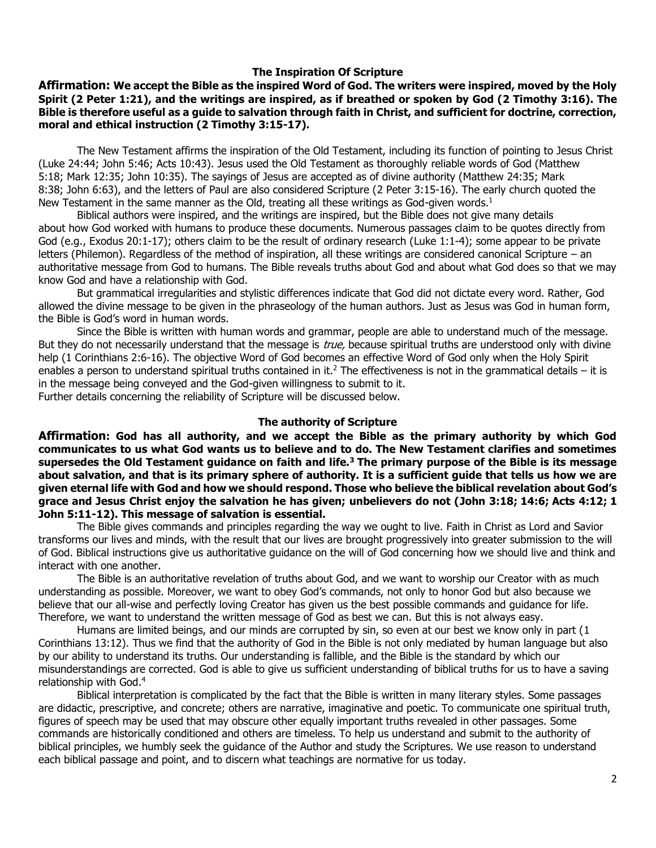## **The Inspiration Of Scripture**

**Affirmation: We accept the Bible as the inspired Word of God. The writers were inspired, moved by the Holy Spirit [\(2 Peter 1:21\)](http://biblia.com/bible/niv/2%20Pet%201.21), and the writings are inspired, as if breathed or spoken by God [\(2 Timothy 3:16\)](http://biblia.com/bible/niv/2%20Tim%203.16). The Bible is therefore useful as a guide to salvation through faith in Christ, and sufficient for doctrine, correction, moral and ethical instruction [\(2 Timothy 3:15-17\)](http://biblia.com/bible/niv/2%20Tim%203.15-17).**

The New Testament affirms the inspiration of the Old Testament, including its function of pointing to Jesus Christ [\(Luke 24:44;](http://biblia.com/bible/niv/Luke%2024.44) [John 5:46;](http://biblia.com/bible/niv/John%205.46) [Acts 10:43\)](http://biblia.com/bible/niv/Acts%2010.43). Jesus used the Old Testament as thoroughly reliable words of God [\(Matthew](http://biblia.com/bible/niv/Matt%205.18)  [5:18;](http://biblia.com/bible/niv/Matt%205.18) [Mark 12:35;](http://biblia.com/bible/niv/Mark%2012.35) [John 10:35\)](http://biblia.com/bible/niv/John%2010.35). The sayings of Jesus are accepted as of divine authority [\(Matthew 24:35;](http://biblia.com/bible/niv/Matt%2024.35) [Mark](http://biblia.com/bible/niv/Mark%208.38)  [8:38;](http://biblia.com/bible/niv/Mark%208.38) [John 6:63\)](http://biblia.com/bible/niv/John%206.63), and the letters of Paul are also considered Scripture [\(2 Peter 3:15-16\)](http://biblia.com/bible/niv/2%20Pet%203.15-16). The early church quoted the New Testament in the same manner as the Old, treating all these writings as God-given words.<sup>1</sup>

Biblical authors were inspired, and the writings are inspired, but the Bible does not give many details about how God worked with humans to produce these documents. Numerous passages claim to be quotes directly from God (e.g., [Exodus 20:1-17\)](http://biblia.com/bible/niv/Exod%2020.1-17); others claim to be the result of ordinary research [\(Luke 1:1-4\)](http://biblia.com/bible/niv/Luke%201.1-4); some appear to be private letters (Philemon). Regardless of the method of inspiration, all these writings are considered canonical Scripture – an authoritative message from God to humans. The Bible reveals truths about God and about what God does so that we may know God and have a relationship with God.

But grammatical irregularities and stylistic differences indicate that God did not dictate every word. Rather, God allowed the divine message to be given in the phraseology of the human authors. Just as Jesus was God in human form, the Bible is God's word in human words.

Since the Bible is written with human words and grammar, people are able to understand much of the message. But they do not necessarily understand that the message is *true*, because spiritual truths are understood only with divine help [\(1 Corinthians 2:6-16\)](http://biblia.com/bible/niv/1%20Cor%202.6-16). The objective Word of God becomes an effective Word of God only when the Holy Spirit enables a person to understand spiritual truths contained in it.<sup>2</sup> The effectiveness is not in the grammatical details – it is in the message being conveyed and the God-given willingness to submit to it.

Further details concerning the reliability of Scripture will be discussed below.

#### **The authority of Scripture**

**Affirmation: God has all authority, and we accept the Bible as the primary authority by which God communicates to us what God wants us to believe and to do. The New Testament clarifies and sometimes supersedes the Old Testament guidance on faith and life.<sup>3</sup> The primary purpose of the Bible is its message about salvation, and that is its primary sphere of authority. It is a sufficient guide that tells us how we are given eternal life with God and how we should respond. Those who believe the biblical revelation about God's grace and Jesus Christ enjoy the salvation he has given; unbelievers do not [\(John 3:18;](http://biblia.com/bible/niv/John%203.18) [14:6;](http://biblia.com/bible/niv/John%2014.6) [Acts 4:12;](http://biblia.com/bible/niv/Acts%204.12) [1](http://biblia.com/bible/niv/1%20John%205.11-12)  [John 5:11-12\)](http://biblia.com/bible/niv/1%20John%205.11-12). This message of salvation is essential.**

The Bible gives commands and principles regarding the way we ought to live. Faith in Christ as Lord and Savior transforms our lives and minds, with the result that our lives are brought progressively into greater submission to the will of God. Biblical instructions give us authoritative guidance on the will of God concerning how we should live and think and interact with one another.

The Bible is an authoritative revelation of truths about God, and we want to worship our Creator with as much understanding as possible. Moreover, we want to obey God's commands, not only to honor God but also because we believe that our all-wise and perfectly loving Creator has given us the best possible commands and guidance for life. Therefore, we want to understand the written message of God as best we can. But this is not always easy.

Humans are limited beings, and our minds are corrupted by sin, so even at our best we know only in part [\(1](http://biblia.com/bible/niv/1%20Cor%2013.12)  [Corinthians 13:12\)](http://biblia.com/bible/niv/1%20Cor%2013.12). Thus we find that the authority of God in the Bible is not only mediated by human language but also by our ability to understand its truths. Our understanding is fallible, and the Bible is the standard by which our misunderstandings are corrected. God is able to give us sufficient understanding of biblical truths for us to have a saving relationship with God.<sup>4</sup>

Biblical interpretation is complicated by the fact that the Bible is written in many literary styles. Some passages are didactic, prescriptive, and concrete; others are narrative, imaginative and poetic. To communicate one spiritual truth, figures of speech may be used that may obscure other equally important truths revealed in other passages. Some commands are historically conditioned and others are timeless. To help us understand and submit to the authority of biblical principles, we humbly seek the guidance of the Author and study the Scriptures. We use reason to understand each biblical passage and point, and to discern what teachings are normative for us today.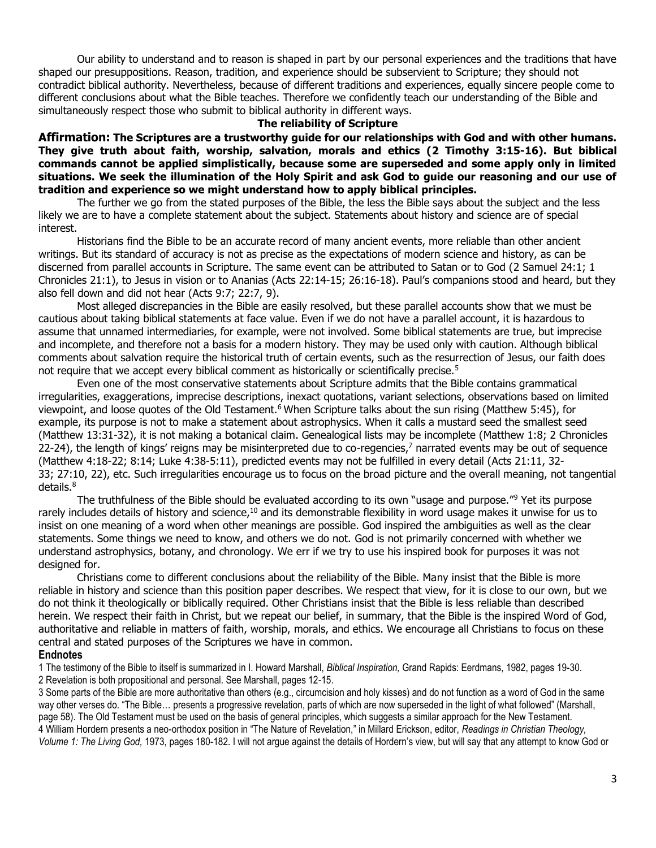Our ability to understand and to reason is shaped in part by our personal experiences and the traditions that have shaped our presuppositions. Reason, tradition, and experience should be subservient to Scripture; they should not contradict biblical authority. Nevertheless, because of different traditions and experiences, equally sincere people come to different conclusions about what the Bible teaches. Therefore we confidently teach our understanding of the Bible and simultaneously respect those who submit to biblical authority in different ways.

### **The reliability of Scripture**

**Affirmation: The Scriptures are a trustworthy guide for our relationships with God and with other humans. They give truth about faith, worship, salvation, morals and ethics [\(2 Timothy 3:15-16\)](http://biblia.com/bible/niv/2%20Tim%203.15-16). But biblical commands cannot be applied simplistically, because some are superseded and some apply only in limited situations. We seek the illumination of the Holy Spirit and ask God to guide our reasoning and our use of tradition and experience so we might understand how to apply biblical principles.**

The further we go from the stated purposes of the Bible, the less the Bible says about the subject and the less likely we are to have a complete statement about the subject. Statements about history and science are of special interest.

Historians find the Bible to be an accurate record of many ancient events, more reliable than other ancient writings. But its standard of accuracy is not as precise as the expectations of modern science and history, as can be discerned from parallel accounts in Scripture. The same event can be attributed to Satan or to God [\(2 Samuel 24:1;](http://biblia.com/bible/niv/2%20Sam%2024.1) [1](http://biblia.com/bible/niv/1%20Chron%2021.1)  [Chronicles 21:1\)](http://biblia.com/bible/niv/1%20Chron%2021.1), to Jesus in vision or to Ananias [\(Acts 22:14-15;](http://biblia.com/bible/niv/Acts%2022.14-15) [26:16-18](http://biblia.com/bible/niv/Acts%2026.16-18)). Paul's companions stood and heard, but they also fell down and did not hear [\(Acts 9:7;](http://biblia.com/bible/niv/Acts%209.7) [22:7,](http://biblia.com/bible/niv/Acts%2022.7) [9\)](http://biblia.com/bible/niv/Acts%2022.9).

Most alleged discrepancies in the Bible are easily resolved, but these parallel accounts show that we must be cautious about taking biblical statements at face value. Even if we do not have a parallel account, it is hazardous to assume that unnamed intermediaries, for example, were not involved. Some biblical statements are true, but imprecise and incomplete, and therefore not a basis for a modern history. They may be used only with caution. Although biblical comments about salvation require the historical truth of certain events, such as the resurrection of Jesus, our faith does not require that we accept every biblical comment as historically or scientifically precise.<sup>5</sup>

Even one of the most conservative statements about Scripture admits that the Bible contains grammatical irregularities, exaggerations, imprecise descriptions, inexact quotations, variant selections, observations based on limited viewpoint, and loose quotes of the Old Testament.<sup>6</sup> When Scripture talks about the sun rising [\(Matthew 5:45\)](http://biblia.com/bible/niv/Matt%205.45), for example, its purpose is not to make a statement about astrophysics. When it calls a mustard seed the smallest seed [\(Matthew 13:31-32\)](http://biblia.com/bible/niv/Matt%2013.31-32), it is not making a botanical claim. Genealogical lists may be incomplete [\(Matthew 1:8;](http://biblia.com/bible/niv/Matt%201.8) 2 Chronicles 22-24), the length of kings' reigns may be misinterpreted due to co-regencies,<sup>7</sup> narrated events may be out of sequence [\(Matthew 4:18-22;](http://biblia.com/bible/niv/Matt%204.18-22) [8:14;](http://biblia.com/bible/niv/Matt%208.14) [Luke 4:38-5:11\)](http://biblia.com/bible/niv/Luke%204.38-5.11), predicted events may not be fulfilled in every detail [\(Acts 21:11,](http://biblia.com/bible/niv/Acts%2021.11) [32-](http://biblia.com/bible/niv/Acts%2021.32-33) [33;](http://biblia.com/bible/niv/Acts%2021.32-33) [27:10,](http://biblia.com/bible/niv/Acts%2027.10) [22\)](http://biblia.com/bible/niv/Acts%2027.22), etc. Such irregularities encourage us to focus on the broad picture and the overall meaning, not tangential details.<sup>8</sup>

The truthfulness of the Bible should be evaluated according to its own "usage and purpose."<sup>9</sup> Yet its purpose rarely includes details of history and science,<sup>10</sup> and its demonstrable flexibility in word usage makes it unwise for us to insist on one meaning of a word when other meanings are possible. God inspired the ambiguities as well as the clear statements. Some things we need to know, and others we do not. God is not primarily concerned with whether we understand astrophysics, botany, and chronology. We err if we try to use his inspired book for purposes it was not designed for.

Christians come to different conclusions about the reliability of the Bible. Many insist that the Bible is more reliable in history and science than this position paper describes. We respect that view, for it is close to our own, but we do not think it theologically or biblically required. Other Christians insist that the Bible is less reliable than described herein. We respect their faith in Christ, but we repeat our belief, in summary, that the Bible is the inspired Word of God, authoritative and reliable in matters of faith, worship, morals, and ethics. We encourage all Christians to focus on these central and stated purposes of the Scriptures we have in common.

#### **Endnotes**

1 The testimony of the Bible to itself is summarized in I. Howard Marshall, *Biblical Inspiration,* Grand Rapids: Eerdmans, 1982, pages 19-30. 2 Revelation is both propositional and personal. See Marshall, pages 12-15.

3 Some parts of the Bible are more authoritative than others (e.g., circumcision and holy kisses) and do not function as a word of God in the same way other verses do. "The Bible… presents a progressive revelation, parts of which are now superseded in the light of what followed" (Marshall, page 58). The Old Testament must be used on the basis of general principles, which suggests a similar approach for the New Testament. 4 William Hordern presents a neo-orthodox position in "The Nature of Revelation," in Millard Erickson, editor, *Readings in Christian Theology, Volume 1: The Living God,* 1973, pages 180-182. I will not argue against the details of Hordern's view, but will say that any attempt to know God or